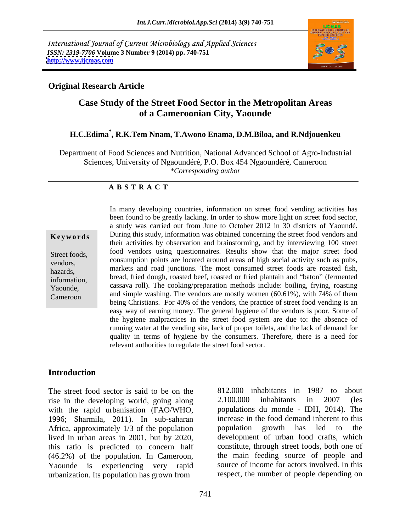International Journal of Current Microbiology and Applied Sciences *ISSN: 2319-7706* **Volume 3 Number 9 (2014) pp. 740-751 <http://www.ijcmas.com>**



#### **Original Research Article**

### **Case Study of the Street Food Sector in the Metropolitan Areas of a Cameroonian City, Yaounde**

### **H.C.Edima\* , R.K.Tem Nnam, T.Awono Enama, D.M.Biloa, and R.Ndjouenkeu**

Department of Food Sciences and Nutrition, National Advanced School of Agro-Industrial Sciences, University of Ngaoundéré, P.O. Box 454 Ngaoundéré, Cameroon *\*Corresponding author* 

#### **A B S T R A C T**

**Keywords** During this study, information was obtained concerning the street food vendors and Street foods, food vendors using questionnaires. Results show that the major street food vendors, consumption points are located around areas of high social activity such as pubs, hazards, markets and road junctions. The most consumed street foods are roasted fish, information, bread, fried dough, roasted beef, roasted or fried plantain and "baton" (fermented Yaounde, cassava roll). The cooking/preparation methods include: boiling, frying, roasting Cameroon and simple washing. The vendors are mostly women (60.61%), with 74% of them In many developing countries, information on street food vending activities has been found to be greatly lacking. In order to show more light on street food sector, a study was carried out from June to October 2012 in 30 districts of Yaoundé. their activities by observation and brainstorming, and by interviewing 100 street being Christians. For 40% of the vendors, the practice of street food vending is an easy way of earning money. The general hygiene of the vendors is poor. Some of the hygiene malpractices in the street food system are due to: the absence of running water at the vending site, lack of proper toilets, and the lack of demand for quality in terms of hygiene by the consumers. Therefore, there is a need for relevant authorities to regulate the street food sector.

#### **Introduction**

The street food sector is said to be on the rise in the developing world, going along 2.100.000 inhabitants in 2007 (les with the rapid urbanisation (FAO/WHO, 1996; Sharmila, 2011). In sub-saharan Africa, approximately 1/3 of the population population growth has led to the lived in urban areas in 2001, but by 2020, development of urban food crafts, which<br>this ratio is predicted to concern half constitute, through street foods, both one of (46.2%) of the population. In Cameroon, Yaounde is experiencing very rapid urbanization. Its population has grown from

812.000 inhabitants in 1987 to about 2.100.000 inhabitants in 2007 (les populations du monde - IDH, 2014). The increase in the food demand inherent to this population growth has led to the development of urban food crafts, which constitute, through street foods, both one of the main feeding source of people and source of income for actors involved. In this respect, the number of people depending on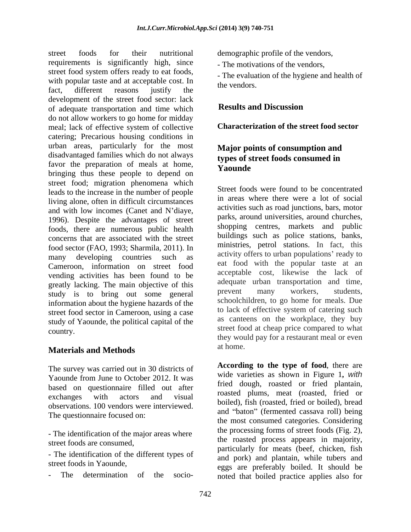street foods for their nutritional demographic profile of the vendors, requirements is significantly high, since street food system offers ready to eat foods, with popular taste and at acceptable cost. In the vendors. fact, different reasons justify the the endors. development of the street food sector: lack<br>of adequate transportation and time which<br>Results and Discussion of adequate transportation and time which do not allow workers to go home for midday meal; lack of effective system of collective catering; Precarious housing conditions in urban areas, particularly for the most disadvantaged families which do not always favor the preparation of meals at home,<br> **Secure Constant on**<br> **Produce**<br> **Produce** street food; migration phenomena which leads to the increase in the number of people living alone, often in difficult circumstances and with low incomes (Canet and N'diaye, 1996). Despite the advantages of street foods, there are numerous public health concerns that are associated with the street food sector (FAO, 1993; Sharmila, 2011). In many developing countries such as Cameroon, information on street food vending activities has been found to be acceptable cost, likewise the lack of reactly lacking. The main objective of this adequate urban transportation and time, greatly lacking. The main objective of this adequate urban transportation and time,<br>tudy is to bring out some general prevent many workers, students, study is to bring out some general information about the hygiene hazards of the street food sector in Cameroon, using a case study of Yaounde, the political capital of the country.

## **Materials and Methods**

The survey was carried out in 30 districts of Yaounde from June to October 2012. It was based on questionnaire filled out after observations. 100 vendors were interviewed. The questionnaire focused on:

- The identification of the major areas where street foods are consumed,

- The identification of the different types of

- The motivations of the vendors,

- The evaluation of the hygiene and health of the vendors.

### **Results and Discussion**

#### **Characterization of the street food sector**

### **Major points of consumption and types of street foods consumed in Yaounde**

Street foods were found to be concentrated in areas where there were a lot of social activities such as road junctions, bars, motor parks, around universities, around churches, shopping centres, markets and public buildings such as police stations, banks, ministries, petrol stations. In fact, this activity offers to urban populations' ready to eat food with the popular taste at an acceptable cost, likewise the lack of adequate urban transportation and time, prevent many workers, students, schoolchildren, to go home for meals. Due to lack of effective system of catering such as canteens on the workplace, they buy street food at cheap price compared to what they would pay for a restaurant meal or even at home.

exchanges with actors and visual actors and visual and  $\frac{1}{4}$  and  $\frac{1}{4}$  and  $\frac{1}{4}$  and  $\frac{1}{4}$  and  $\frac{1}{4}$  and  $\frac{1}{4}$  and  $\frac{1}{4}$  and  $\frac{1}{4}$  and  $\frac{1}{4}$  and  $\frac{1}{4}$  and  $\frac{1}{4}$  and  $\frac{1}{4}$  and street foods in Yaounde,<br>eggs are preferably boiled. It should be - The determination of the socio-noted that boiled practice applies also for**According to the type of food**, there are wide varieties as shown in Figure 1**,** with fried dough, roasted or fried plantain, roasted plums, meat (roasted, fried or boiled), fish (roasted, fried or boiled), bread and "baton" (fermented cassava roll) being the most consumed categories. Considering the processing forms of street foods (Fig.2), the roasted process appears in majority, particularly for meats (beef, chicken, fish and pork) and plantain, while tubers and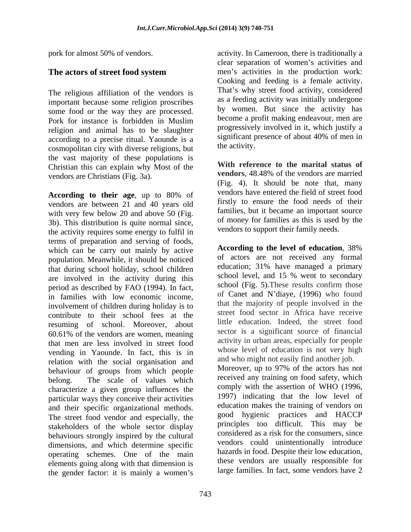The religious affiliation of the vendors is important because some religion proscribes some food or the way they are processed. By women. But since the activity has<br>Pork for instance is forbidden in Muslim become a profit making endeavour, men are religion and animal has to be slaughter according to a precise ritual. Yaounde is a<br>cosmonolitan city with diverse religions but the activity. cosmopolitan city with diverse religions, but the vast majority of these populations is Christian this can explain why Most of the **With reference to the marital status of** vendors are married vendors.  $48.48\%$  of the vendors are married vendors are Christians (Fig. 3a).

**According to their age**, up to 80% of vendors are between 21 and 40 years old with very few below 20 and above 50 (Fig. 3b). This distribution is quite normal since, the activity requires some energy to fulfil in terms of preparation and serving of foods,<br>which can be carry out mainly by active<br>**According to the level of education**, 38% which can be carry out mainly by active population. Meanwhile, it should be noticed that during school holiday, school children are involved in the activity during this period as described by FAO (1994). In fact, in families with low economic income, involvement of children during holiday is to contribute to their school fees at the resuming of school. Moreover, about  $60.61\%$  of the vendors are women, meaning sector is a significant source of financial that men are less involved in street food vending in Yaounde. In fact, this is in relation with the social organisation and behaviour of groups from which people belong. The scale of values which characterize a given group influences the particular ways they conceive their activities and their specific organizational methods. The street food vendor and especially, the stakeholders of the whole sector display behaviours strongly inspired by the cultural dimensions, and which determine specific operating schemes. One of the main elements going along with that dimension is the gender factor: it is mainly a women's

743

pork for almost 50% of vendors. activity. In Cameroon, there is traditionally a **The actors of street food system** men's activities in the production work: clear separation of women's activities and men's activities in the production work: Cooking and feeding is a female activity. That's why street food activity, considered as a feeding activity was initially undergone by women. But since the activity has become a profit making endeavour, men are progressively involved in it, which justify a significant presence of about 40% of men in the activity.

> **With reference to the marital status of vendors**, 48.48% of the vendors are married (Fig. 4). It should be note that, many vendors have entered the field of street food firstly to ensure the food needs of their families, but it became an important source of money for families as this is used by the vendors to support their family needs.

**According to the level of education**, 38% of actors are not received any formal education; 31% have managed a primary school level, and 15 % went to secondary school (Fig. 5).These results confirm those of Canet and N'diaye, (1996) who found that the majority of people involved in the street food sector in Africa have receive little education. Indeed, the street food sector is a significant source of financial activity in urban areas, especially for people whose level of education is not very high and who might not easily find another job.

Moreover, up to 97% of the actors has not received any training on food safety, which comply with the assertion of WHO (1996, 1997) indicating that the low level of education makes the training of vendors on good hygienic practices and HACCP principles too difficult. This may be considered as a risk for the consumers, since vendors could unintentionally introduce hazards in food. Despite their low education, these vendors are usually responsible for large families. In fact, some vendors have 2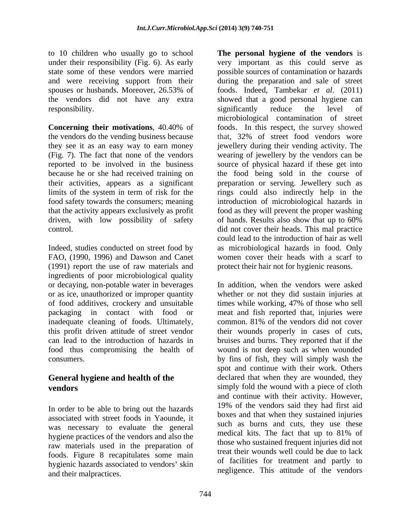to 10 children who usually go to school and were receiving support from their spouses or husbands. Moreover, 26.53% of responsibility. The significantly reduce the level of

their activities, appears as a significant driven, with low possibility of safety of hands. Results also show that up to 60%

(1991) report the use of raw materials and ingredients of poor microbiological quality or decaying, non-potable water in beverages food thus compromising the health of

# **General hygiene and health of the**

In order to be able to bring out the hazards associated with street foods in Yaounde, it was necessary to evaluate the general such as burns and cuts, they use these<br>medical kits. The fact that up to 81% of hygiene practices of the vendors and also the raw materials used in the preparation of foods. Figure 8 recapitulates some main hygienic hazards associated to vendors' skin and their malpractices.

under their responsibility (Fig. 6). As early very important as this could serve as state some of these vendors were married possible sources of contamination or hazards the vendors did not have any extra showed that a good personal hygiene can **Concerning their motivations**, 40.40% of the vendors do the vending business because that, 32% of street food vendors wore they see it as an easy way to earn money jewellery during their vending activity. The (Fig. 7). The fact that none of the vendors wearing of jewellery by the vendors can be reported to be involved in the business source of physical hazard if these get into because he or she had received training on the food being sold in the course of limits of the system in term of risk for the rings could also indirectly help in the food safety towards the consumers; meaning introduction of microbiological hazards in that the activity appears exclusively as profit food as they will prevent the proper washing control.<br>
did not cover their heads. This mal practice<br>
could lead to the introduction of hair as well<br>
Indeed, studies conducted on street food by<br>
as microbiological hazards in food. Only FAO, (1990, 1996) and Dawson and Canet women cover their heads with a scarf to **The personal hygiene of the vendors** is during the preparation and sale of street foods. Indeed, Tambekar *et al*. (2011) significantly reduce the level of microbiological contamination of street foods. In this respect, the survey showed preparation or serving. Jewellery such as of hands. Results also show that up to 60% did not cover their heads. This mal practice could lead to the introduction of hair as well as microbiological hazards in food. Only protect their hair not for hygienic reasons.

or as ice, unauthorized or improper quantity whether or not they did sustain injuries at of food additives, crockery and unsuitable times while working, 47% of those who sell packaging in contact with food or meat and fish reported that, injuries were inadequate cleaning of foods. Ultimately, common. 81% of the vendors did not cover this profit driven attitude of street vendor their wounds properly in cases of cuts, can lead to the introduction of hazards in bruises and burns. They reported that if the consumers. by fins of fish, they will simply wash the **vendors** simply fold the wound with a piece of cloth In addition, when the vendors were asked wound is not deep such as when wounded spot and continue with their work. Others declared that when they are wounded, they and continue with their activity. However, 19% of the vendors said they had first aid boxes and that when they sustained injuries such as burns and cuts, they use these medical kits. The fact that up to 81% of those who sustained frequent injuries did not treat their wounds well could be due to lack of facilities for treatment and partly to negligence. This attitude of the vendors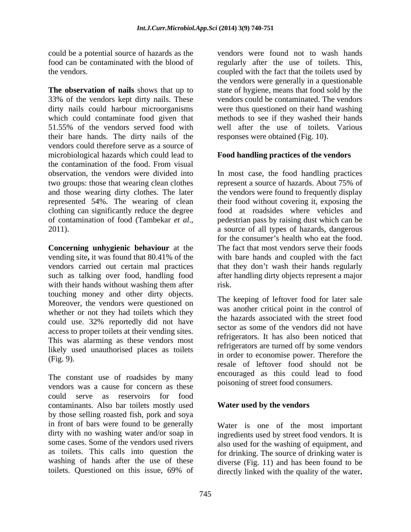could be a potential source of hazards as the<br>food can be contaminated with the blood of

**The observation of nails** shows that up to 33% of the vendors kept dirty nails. These dirty nails could harbour microorganisms were thus questioned on their hand washing which could contaminate food given that methods to see if they washed their hands 51.55% of the vendors served food with their bare hands. The dirty nails of the vendors could therefore serve as a source of microbiological hazards which could lead to the contamination of the food. From visual observation, the vendors were divided into In most case, the food handling practices two groups: those that wearing clean clothes represent a source of hazards. About 75% of and those wearing dirty clothes. The later the vendors were found to frequently display represented 54%. The wearing of clean their food without covering it, exposing the clothing can significantly reduce the degree of contamination of food (Tambekar *et al*., 2011).

**Concerning unhygienic behaviour** at the The fact that most vendors serve their foods vending site**,** it was found that 80.41% of the with bare hands and coupled with the fact vendors carried out certain mal practices that they don't wash their hands regularly such as talking over food, handling food after handling dirty objects represent a major with their hands without washing them after risk. touching money and other dirty objects. Moreover, the vendors were questioned on whether or not they had toilets which they could use. 32% reportedly did not have access to proper toilets at their vending sites. This was alarming as these vendors most likely used unauthorised places as toilets

The constant use of roadsides by many vendors was a cause for concern as these could serve as reservoirs for food contaminants. Also bar toilets mostly used by those selling roasted fish, pork and soya in front of bars were found to be generally dirty with no washing water and/or soap in ingredients used by street food vendors. It is some cases. Some of the vendors used rivers also used for the washing of equipment, and as toilets. This calls into question the for drinking. The source of drinking water is washing of hands after the use of these diverse (Fig. 11) and has been found to be

food can be contaminated with the blood of regularly after the use of toilets. This, the vendors. coupled with the fact that the toilets used by vendors were found not to wash hands the vendors were generally in a questionable state of hygiene, means that food sold by the vendors could be contaminated. The vendors well after the use of toilets. Various responses were obtained (Fig. 10).

#### **Food handling practices of the vendors**

represent a source of hazards. About 75% of food at roadsides where vehicles and pedestrian pass by raising dust which can be a source of all types of hazards, dangerous for the consumer's health who eat the food.<br>The fact that most vendors serve their foods risk.

 $(\text{Fig. 9}).$  In order to economise power. Therefore the The keeping of leftover food for later sale was another critical point in the control of the hazards associated with the street food sector as some of the vendors did not have refrigerators. It has also been noticed that refrigerators are turned off by some vendors in order to economise power. Therefore the resale of leftover food should not be encouraged as this could lead to food poisoning of street food consumers.

#### **Water used by the vendors**

toilets. Questioned on this issue, 69% of directly linked with the quality of the water**.** Water is one of the most important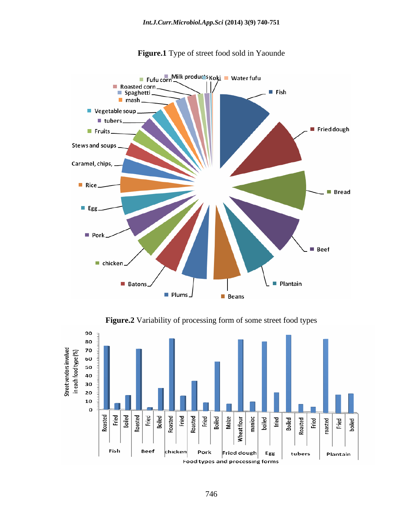

**Figure.1** Type of street food sold in Yaounde

**Figure.2** Variability of processing form of some street food types

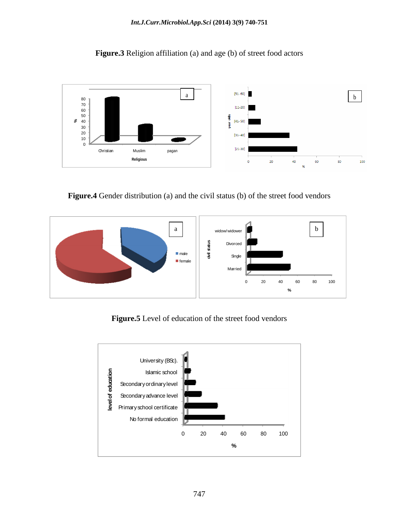



**Figure.4** Gender distribution (a) and the civil status (b) of the street food vendors



**Figure.5** Level of education of the street food vendors

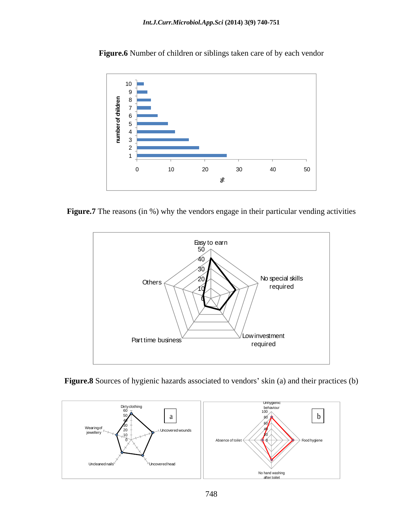

**Figure.6** Number of children or siblings taken care of by each vendor

Figure.7 The reasons (in %) why the vendors engage in their particular vending activities



Figure.8 Sources of hygienic hazards associated to vendors' skin (a) and their practices (b)

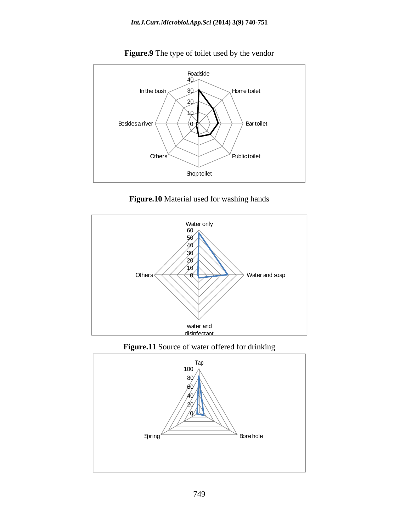

**Figure.9** The type of toilet used by the vendor





**Figure.11** Source of water offered for drinking

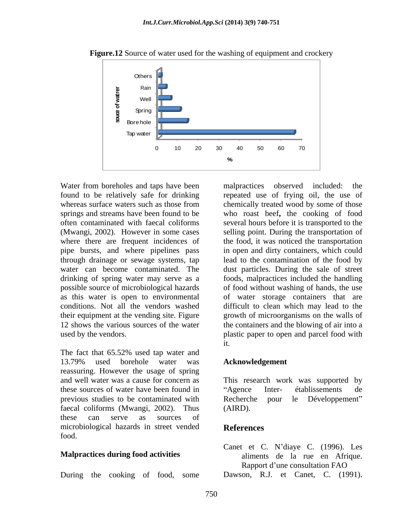

**Figure.12** Source of water used for the washing of equipment and crockery

Water from boreholes and taps have been malpractices observed included: the found to be relatively safe for drinking drinking of spring water may serve as a possible source of microbiological hazards

The fact that 65.52% used tap water and 13.79% used borehole water was **Acknowledgement** reassuring. However the usage of spring and well water was a cause for concern as This research work was supported by these sources of water have been found in "Agence Inter- établissements de previous studies to be contaminated with Recherche pour le Développement" faecal coliforms (Mwangi, 2002). Thus (AIRD). these can serve as sources of microbiological hazards in street vended<br>References food.

#### **Malpractices during food activities**

During the cooking of food, some Dawson, R.J. et Canet, C. (1991).

whereas surface waters such as those from chemically treated wood by some of those springs and streams have been found to be who roast beef**,** the cooking of food often contaminated with faecal coliforms several hours before it is transported to the (Mwangi, 2002). However in some cases selling point. During the transportation of where there are frequent incidences of the food, it was noticed the transportation pipe bursts, and where pipelines pass in open and dirty containers, which could through drainage or sewage systems, tap lead to the contamination of the food by water can become contaminated. The dust particles. During the sale of street as this water is open to environmental of water storage containers that are conditions. Not all the vendors washed difficult to clean which may lead to the their equipment at the vending site. Figure growth of microorganisms on the walls of 12 shows the various sources of the water the containers and the blowing of air into a used by the vendors. plastic paper to open and parcel food with malpractices observed included: the repeated use of frying oil, the use of foods, malpractices included the handling of food without washing of hands, the use it.

#### **Acknowledgement**

Agence Inter- établissements de Recherche pour le Développement (AIRD).

#### **References**

Canet et C. N'diaye C. (1996). Les aliments de la rue en Afrique. Rapport d'une consultation FAO

750